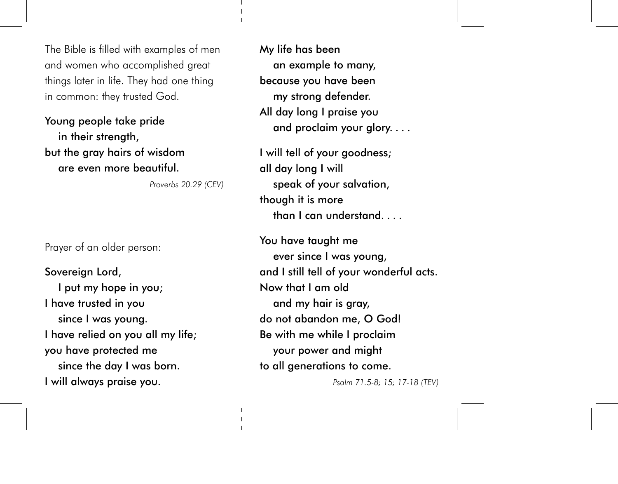The Bible is filled with examples of men and women who accomplished great things later in life. They had one thing in common: they trusted God.

Young people take pride in their strength, but the gray hairs of wisdom are even more beautiful.

Proverbs 20.29 (CEV)

Prayer of an older person:

Sovereign Lord, I put my hope in you; I have trusted in you since I was young. I have relied on you all my life; you have protected me since the day I was born. I will always praise you.

My life has been an example to many, because you have been my strong defender. All day long I praise you and proclaim your glory....

I will tell of your goodness; all day long I will speak of your salvation, though it is more than I can understand

You have taught me ever since I was young, and I still tell of your wonderful acts. Now that I am old and my hair is gray, do not abandon me, O God! Be with me while I proclaim your power and might to all generations to come.

Psalm 71.5-8; 15; 17-18 (TEV)